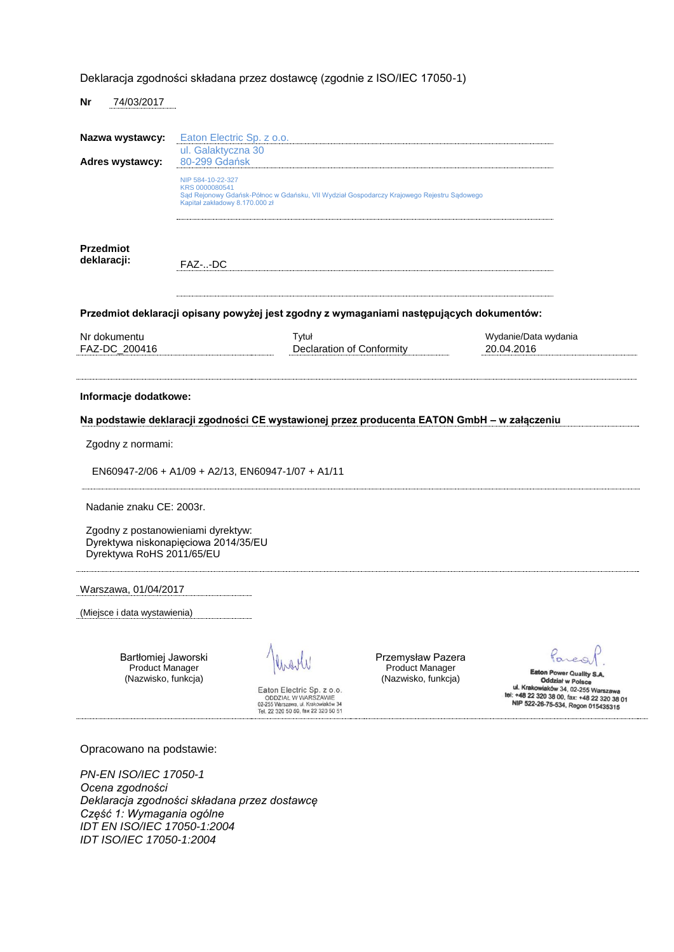Deklaracja zgodności składana przez dostawcę (zgodnie z ISO/IEC 17050-1)

| Nr                                                                                                                                                                                                                                                                | 74/03/2017                                                           |                                     |                                                                                                                                |                                                             |                                                                                                                                                                                 |  |
|-------------------------------------------------------------------------------------------------------------------------------------------------------------------------------------------------------------------------------------------------------------------|----------------------------------------------------------------------|-------------------------------------|--------------------------------------------------------------------------------------------------------------------------------|-------------------------------------------------------------|---------------------------------------------------------------------------------------------------------------------------------------------------------------------------------|--|
|                                                                                                                                                                                                                                                                   | Nazwa wystawcy:                                                      | Eaton Electric Sp. z o.o.           |                                                                                                                                |                                                             |                                                                                                                                                                                 |  |
|                                                                                                                                                                                                                                                                   |                                                                      | ul. Galaktyczna 30                  |                                                                                                                                |                                                             |                                                                                                                                                                                 |  |
|                                                                                                                                                                                                                                                                   | Adres wystawcy:                                                      | 80-299 Gdańsk                       |                                                                                                                                |                                                             |                                                                                                                                                                                 |  |
|                                                                                                                                                                                                                                                                   |                                                                      | NIP 584-10-22-327<br>KRS 0000080541 | Sąd Rejonowy Gdańsk-Północ w Gdańsku, VII Wydział Gospodarczy Krajowego Rejestru Sądowego<br>Kapitał zakładowy 8.170.000 zł    |                                                             |                                                                                                                                                                                 |  |
| <b>Przedmiot</b><br>deklaracji:                                                                                                                                                                                                                                   |                                                                      | FAZ--DC                             |                                                                                                                                |                                                             |                                                                                                                                                                                 |  |
| Przedmiot deklaracji opisany powyżej jest zgodny z wymaganiami następujących dokumentów:                                                                                                                                                                          |                                                                      |                                     |                                                                                                                                |                                                             |                                                                                                                                                                                 |  |
| Nr dokumentu                                                                                                                                                                                                                                                      |                                                                      | Tytuł                               |                                                                                                                                |                                                             | Wydanie/Data wydania                                                                                                                                                            |  |
|                                                                                                                                                                                                                                                                   | FAZ-DC_200416                                                        |                                     | Declaration of Conformity                                                                                                      |                                                             | 20.04.2016                                                                                                                                                                      |  |
| Informacje dodatkowe:<br>Na podstawie deklaracji zgodności CE wystawionej przez producenta EATON GmbH - w załączeniu<br>Zgodny z normami:<br>EN60947-2/06 + A1/09 + A2/13, EN60947-1/07 + A1/11<br>Nadanie znaku CE: 2003r.<br>Zgodny z postanowieniami dyrektyw: |                                                                      |                                     |                                                                                                                                |                                                             |                                                                                                                                                                                 |  |
| Dyrektywa niskonapięciowa 2014/35/EU<br>Dyrektywa RoHS 2011/65/EU                                                                                                                                                                                                 |                                                                      |                                     |                                                                                                                                |                                                             |                                                                                                                                                                                 |  |
| Warszawa, 01/04/2017                                                                                                                                                                                                                                              |                                                                      |                                     |                                                                                                                                |                                                             |                                                                                                                                                                                 |  |
|                                                                                                                                                                                                                                                                   | (Miejsce i data wystawienia)                                         |                                     |                                                                                                                                |                                                             |                                                                                                                                                                                 |  |
|                                                                                                                                                                                                                                                                   | Bartłomiej Jaworski<br><b>Product Manager</b><br>(Nazwisko, funkcja) |                                     | Eaton Electric Sp. z o.o.<br>ODDZIAŁ W WARSZAWIE<br>02-255 Warszawa, ul. Krakowiaków 34<br>Tel. 22 320 50 50, fax 22 320 50 51 | Przemysław Pazera<br>Product Manager<br>(Nazwisko, funkcja) | Eaton Power Quality S.A<br><b>Oddział w Polsce</b><br>ul. Krakowiaków 34, 02-255 Warszawa<br>tel: +48 22 320 38 00, fax: +48 22 320 38 01<br>NIP 522-26-75-534, Regon 015435315 |  |
|                                                                                                                                                                                                                                                                   | Opracowano na podstawie:                                             |                                     |                                                                                                                                |                                                             |                                                                                                                                                                                 |  |

*PN-EN ISO/IEC 17050-1 Ocena zgodności Deklaracja zgodności składana przez dostawcę Część 1: Wymagania ogólne IDT EN ISO/IEC 17050-1:2004 IDT ISO/IEC 17050-1:2004*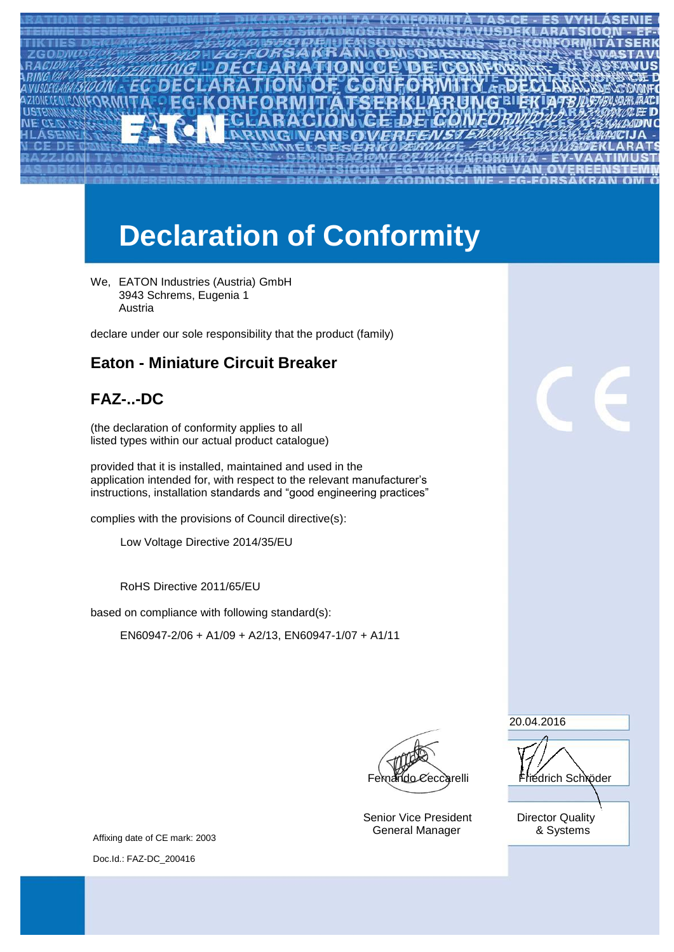

# **Declaration of Conformity**

We, EATON Industries (Austria) GmbH 3943 Schrems, Eugenia 1 Austria

declare under our sole responsibility that the product (family)

### **Eaton - Miniature Circuit Breaker**

### **FAZ-..-DC**

(the declaration of conformity applies to all listed types within our actual product catalogue)

provided that it is installed, maintained and used in the application intended for, with respect to the relevant manufacturer's instructions, installation standards and "good engineering practices"

complies with the provisions of Council directive(s):

Low Voltage Directive 2014/35/EU

RoHS Directive 2011/65/EU

based on compliance with following standard(s):

EN60947-2/06 + A1/09 + A2/13, EN60947-1/07 + A1/11

Senior Vice President Director Quality General Manager & Systems

Fernando Ceccarelli Friedrich Schröder 20.04.2016 *signature*

Affixing date of CE mark: 2003 Doc.Id.: FAZ-DC\_200416